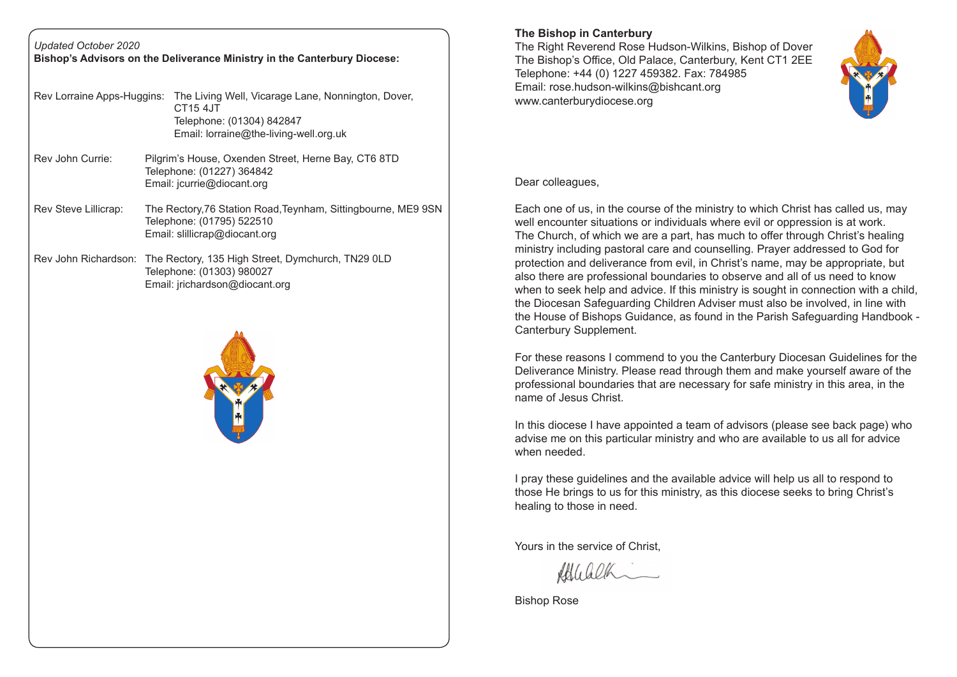| <b>Updated October 2020</b><br>Bishop's Advisors on the Deliverance Ministry in the Canterbury Diocese: |  |                                                                                                                                                                         |
|---------------------------------------------------------------------------------------------------------|--|-------------------------------------------------------------------------------------------------------------------------------------------------------------------------|
|                                                                                                         |  | Rev Lorraine Apps-Huggins: The Living Well, Vicarage Lane, Nonnington, Dover,<br><b>CT15 4JT</b><br>Telephone: (01304) 842847<br>Email: lorraine@the-living-well.org.uk |
| Rev John Currie:                                                                                        |  | Pilgrim's House, Oxenden Street, Herne Bay, CT6 8TD<br>Telephone: (01227) 364842<br>Email: jcurrie@diocant.org                                                          |
| <b>Rev Steve Lillicrap:</b>                                                                             |  | The Rectory, 76 Station Road, Teynham, Sittingbourne, ME9 9SN<br>Telephone: (01795) 522510<br>Email: slillicrap@diocant.org                                             |
|                                                                                                         |  | Rev John Richardson: The Rectory, 135 High Street, Dymchurch, TN29 0LD<br>Telephone: (01303) 980027<br>Email: jrichardson@diocant.org                                   |
|                                                                                                         |  |                                                                                                                                                                         |



## **The Bishop in Canterbury**

The Right Reverend Rose Hudson-Wilkins, Bishop of Dover The Bishop's Office, Old Palace, Canterbury, Kent CT1 2EE Telephone: +44 (0) 1227 459382. Fax: 784985 Email: rose.hudson-wilkins@bishcant.org www.canterburydiocese.org

Dear colleagues,

Each one of us, in the course of the ministry to which Christ has called us, may well encounter situations or individuals where evil or oppression is at work. The Church, of which we are a part, has much to offer through Christ's healing ministry including pastoral care and counselling. Prayer addressed to God for protection and deliverance from evil, in Christ's name, may be appropriate, but also there are professional boundaries to observe and all of us need to know when to seek help and advice. If this ministry is sought in connection with a child, the Diocesan Safeguarding Children Adviser must also be involved, in line with the House of Bishops Guidance, as found in the Parish Safeguarding Handbook - Canterbury Supplement.

For these reasons I commend to you the Canterbury Diocesan Guidelines for the Deliverance Ministry. Please read through them and make yourself aware of the professional boundaries that are necessary for safe ministry in this area, in the name of Jesus Christ.

In this diocese I have appointed a team of advisors (please see back page) who advise me on this particular ministry and who are available to us all for advice when needed.

I pray these guidelines and the available advice will help us all to respond to those He brings to us for this ministry, as this diocese seeks to bring Christ's healing to those in need.

Yours in the service of Christ,

Ablicalhim

Bishop Rose